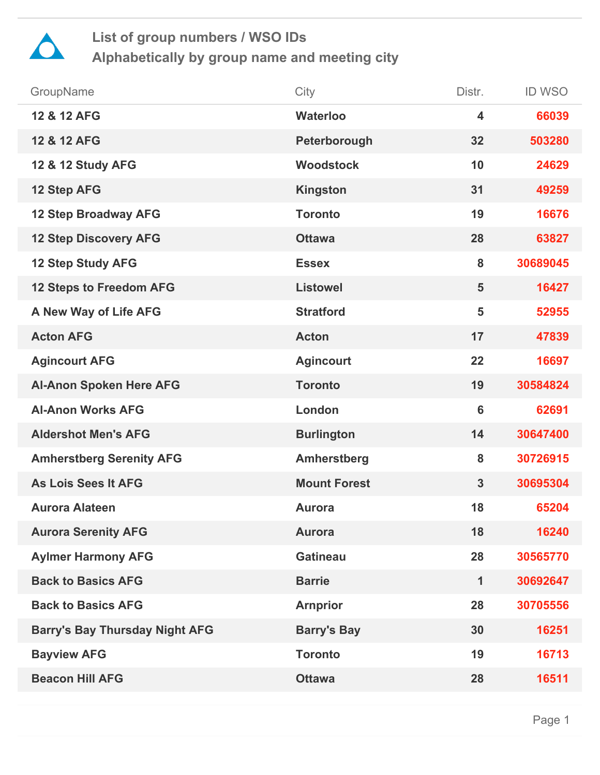

| GroupName                             | City                | Distr.         | <b>ID WSO</b> |
|---------------------------------------|---------------------|----------------|---------------|
| 12 & 12 AFG                           | <b>Waterloo</b>     | 4              | 66039         |
| 12 & 12 AFG                           | Peterborough        | 32             | 503280        |
| 12 & 12 Study AFG                     | <b>Woodstock</b>    | 10             | 24629         |
| 12 Step AFG                           | <b>Kingston</b>     | 31             | 49259         |
| <b>12 Step Broadway AFG</b>           | <b>Toronto</b>      | 19             | 16676         |
| <b>12 Step Discovery AFG</b>          | <b>Ottawa</b>       | 28             | 63827         |
| <b>12 Step Study AFG</b>              | <b>Essex</b>        | 8              | 30689045      |
| <b>12 Steps to Freedom AFG</b>        | <b>Listowel</b>     | 5              | 16427         |
| A New Way of Life AFG                 | <b>Stratford</b>    | 5              | 52955         |
| <b>Acton AFG</b>                      | <b>Acton</b>        | 17             | 47839         |
| <b>Agincourt AFG</b>                  | <b>Agincourt</b>    | 22             | 16697         |
| <b>Al-Anon Spoken Here AFG</b>        | <b>Toronto</b>      | 19             | 30584824      |
| <b>Al-Anon Works AFG</b>              | London              | $6\phantom{1}$ | 62691         |
| <b>Aldershot Men's AFG</b>            | <b>Burlington</b>   | 14             | 30647400      |
| <b>Amherstberg Serenity AFG</b>       | <b>Amherstberg</b>  | 8              | 30726915      |
| <b>As Lois Sees It AFG</b>            | <b>Mount Forest</b> | $\mathbf{3}$   | 30695304      |
| <b>Aurora Alateen</b>                 | <b>Aurora</b>       | 18             | 65204         |
| <b>Aurora Serenity AFG</b>            | <b>Aurora</b>       | 18             | 16240         |
| <b>Aylmer Harmony AFG</b>             | <b>Gatineau</b>     | 28             | 30565770      |
| <b>Back to Basics AFG</b>             | <b>Barrie</b>       | 1              | 30692647      |
| <b>Back to Basics AFG</b>             | <b>Arnprior</b>     | 28             | 30705556      |
| <b>Barry's Bay Thursday Night AFG</b> | <b>Barry's Bay</b>  | 30             | 16251         |
| <b>Bayview AFG</b>                    | <b>Toronto</b>      | 19             | 16713         |
| <b>Beacon Hill AFG</b>                | <b>Ottawa</b>       | 28             | 16511         |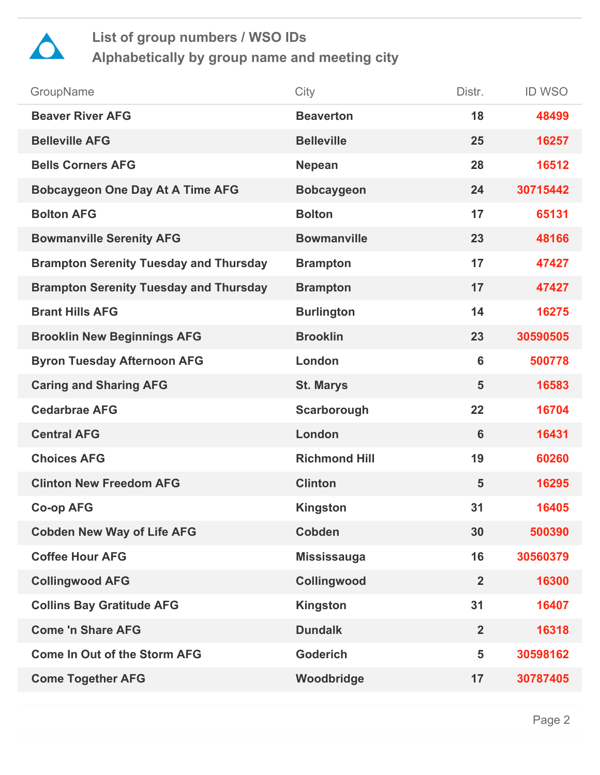

| GroupName                                     | City                 | Distr.         | <b>ID WSO</b> |
|-----------------------------------------------|----------------------|----------------|---------------|
| <b>Beaver River AFG</b>                       | <b>Beaverton</b>     | 18             | 48499         |
| <b>Belleville AFG</b>                         | <b>Belleville</b>    | 25             | 16257         |
| <b>Bells Corners AFG</b>                      | <b>Nepean</b>        | 28             | 16512         |
| <b>Bobcaygeon One Day At A Time AFG</b>       | <b>Bobcaygeon</b>    | 24             | 30715442      |
| <b>Bolton AFG</b>                             | <b>Bolton</b>        | 17             | 65131         |
| <b>Bowmanville Serenity AFG</b>               | <b>Bowmanville</b>   | 23             | 48166         |
| <b>Brampton Serenity Tuesday and Thursday</b> | <b>Brampton</b>      | 17             | 47427         |
| <b>Brampton Serenity Tuesday and Thursday</b> | <b>Brampton</b>      | 17             | 47427         |
| <b>Brant Hills AFG</b>                        | <b>Burlington</b>    | 14             | 16275         |
| <b>Brooklin New Beginnings AFG</b>            | <b>Brooklin</b>      | 23             | 30590505      |
| <b>Byron Tuesday Afternoon AFG</b>            | London               | 6              | 500778        |
| <b>Caring and Sharing AFG</b>                 | <b>St. Marys</b>     | 5              | 16583         |
| <b>Cedarbrae AFG</b>                          | Scarborough          | 22             | 16704         |
| <b>Central AFG</b>                            | London               | 6              | 16431         |
| <b>Choices AFG</b>                            | <b>Richmond Hill</b> | 19             | 60260         |
| <b>Clinton New Freedom AFG</b>                | <b>Clinton</b>       | 5              | 16295         |
| <b>Co-op AFG</b>                              | <b>Kingston</b>      | 31             | 16405         |
| <b>Cobden New Way of Life AFG</b>             | <b>Cobden</b>        | 30             | 500390        |
| <b>Coffee Hour AFG</b>                        | <b>Mississauga</b>   | 16             | 30560379      |
| <b>Collingwood AFG</b>                        | Collingwood          | $\overline{2}$ | 16300         |
| <b>Collins Bay Gratitude AFG</b>              | <b>Kingston</b>      | 31             | 16407         |
| <b>Come 'n Share AFG</b>                      | <b>Dundalk</b>       | $\overline{2}$ | 16318         |
| <b>Come In Out of the Storm AFG</b>           | <b>Goderich</b>      | 5              | 30598162      |
| <b>Come Together AFG</b>                      | Woodbridge           | 17             | 30787405      |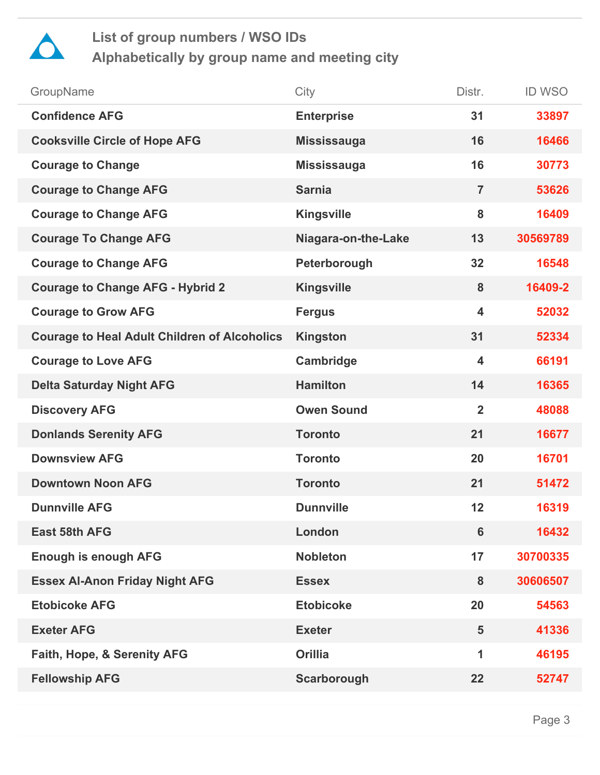

| City                | Distr.                  | <b>ID WSO</b> |
|---------------------|-------------------------|---------------|
| <b>Enterprise</b>   | 31                      | 33897         |
| <b>Mississauga</b>  | 16                      | 16466         |
| <b>Mississauga</b>  | 16                      | 30773         |
| <b>Sarnia</b>       | $\overline{7}$          | 53626         |
| <b>Kingsville</b>   | 8                       | 16409         |
| Niagara-on-the-Lake | 13                      | 30569789      |
| Peterborough        | 32                      | 16548         |
| <b>Kingsville</b>   | 8                       | 16409-2       |
| <b>Fergus</b>       | $\overline{\mathbf{4}}$ | 52032         |
| <b>Kingston</b>     | 31                      | 52334         |
| Cambridge           | $\overline{\mathbf{4}}$ | 66191         |
| <b>Hamilton</b>     | 14                      | 16365         |
| <b>Owen Sound</b>   | $\overline{2}$          | 48088         |
| <b>Toronto</b>      | 21                      | 16677         |
| <b>Toronto</b>      | 20                      | 16701         |
| <b>Toronto</b>      | 21                      | 51472         |
| <b>Dunnville</b>    | 12                      | 16319         |
| London              | 6                       | 16432         |
| <b>Nobleton</b>     | 17                      | 30700335      |
| <b>Essex</b>        | 8                       | 30606507      |
| <b>Etobicoke</b>    | 20                      | 54563         |
| <b>Exeter</b>       | 5                       | 41336         |
| <b>Orillia</b>      | 1                       | 46195         |
| Scarborough         | 22                      | 52747         |
|                     |                         |               |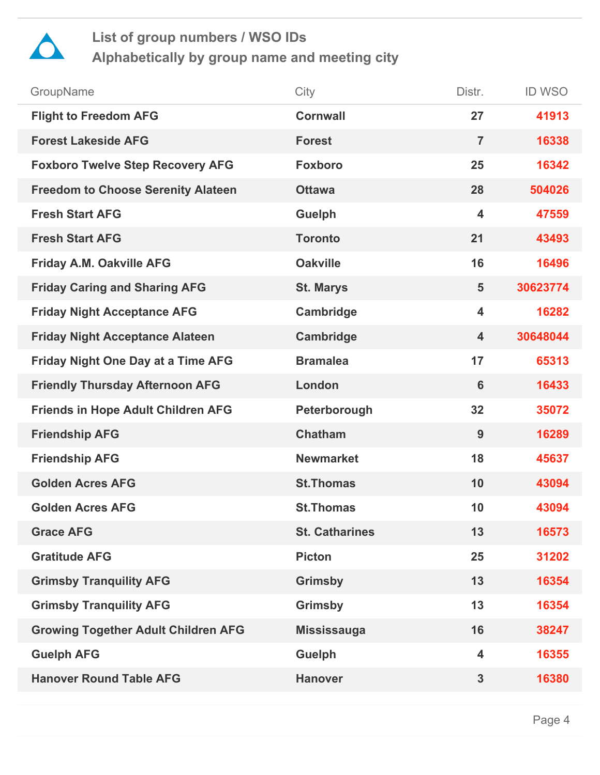

| GroupName                                  | City                  | Distr.                  | <b>ID WSO</b> |
|--------------------------------------------|-----------------------|-------------------------|---------------|
| <b>Flight to Freedom AFG</b>               | <b>Cornwall</b>       | 27                      | 41913         |
| <b>Forest Lakeside AFG</b>                 | <b>Forest</b>         | $\overline{7}$          | 16338         |
| <b>Foxboro Twelve Step Recovery AFG</b>    | <b>Foxboro</b>        | 25                      | 16342         |
| <b>Freedom to Choose Serenity Alateen</b>  | <b>Ottawa</b>         | 28                      | 504026        |
| <b>Fresh Start AFG</b>                     | <b>Guelph</b>         | $\overline{\mathbf{4}}$ | 47559         |
| <b>Fresh Start AFG</b>                     | <b>Toronto</b>        | 21                      | 43493         |
| Friday A.M. Oakville AFG                   | <b>Oakville</b>       | 16                      | 16496         |
| <b>Friday Caring and Sharing AFG</b>       | <b>St. Marys</b>      | $5\phantom{1}$          | 30623774      |
| <b>Friday Night Acceptance AFG</b>         | Cambridge             | $\overline{\mathbf{4}}$ | 16282         |
| <b>Friday Night Acceptance Alateen</b>     | Cambridge             | $\overline{\mathbf{4}}$ | 30648044      |
| <b>Friday Night One Day at a Time AFG</b>  | <b>Bramalea</b>       | 17                      | 65313         |
| <b>Friendly Thursday Afternoon AFG</b>     | London                | 6                       | 16433         |
| <b>Friends in Hope Adult Children AFG</b>  | Peterborough          | 32                      | 35072         |
| <b>Friendship AFG</b>                      | <b>Chatham</b>        | 9                       | 16289         |
| <b>Friendship AFG</b>                      | <b>Newmarket</b>      | 18                      | 45637         |
| <b>Golden Acres AFG</b>                    | <b>St.Thomas</b>      | 10                      | 43094         |
| <b>Golden Acres AFG</b>                    | <b>St.Thomas</b>      | 10                      | 43094         |
| <b>Grace AFG</b>                           | <b>St. Catharines</b> | 13                      | 16573         |
| <b>Gratitude AFG</b>                       | <b>Picton</b>         | 25                      | 31202         |
| <b>Grimsby Tranquility AFG</b>             | <b>Grimsby</b>        | 13                      | 16354         |
| <b>Grimsby Tranquility AFG</b>             | <b>Grimsby</b>        | 13                      | 16354         |
| <b>Growing Together Adult Children AFG</b> | <b>Mississauga</b>    | 16                      | 38247         |
| <b>Guelph AFG</b>                          | <b>Guelph</b>         | $\overline{\mathbf{4}}$ | 16355         |
| <b>Hanover Round Table AFG</b>             | <b>Hanover</b>        | $\mathbf{3}$            | 16380         |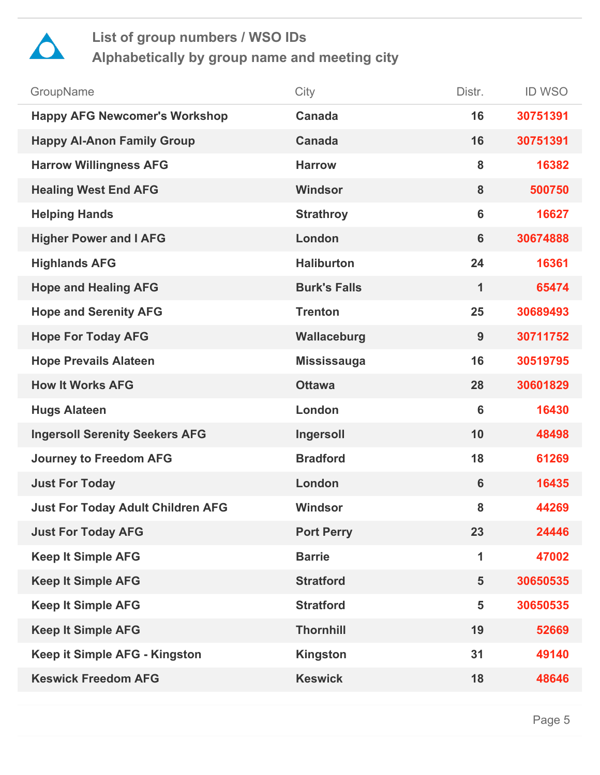

| GroupName                                | City                | Distr.         | <b>ID WSO</b> |
|------------------------------------------|---------------------|----------------|---------------|
| <b>Happy AFG Newcomer's Workshop</b>     | <b>Canada</b>       | 16             | 30751391      |
| <b>Happy Al-Anon Family Group</b>        | <b>Canada</b>       | 16             | 30751391      |
| <b>Harrow Willingness AFG</b>            | <b>Harrow</b>       | 8              | 16382         |
| <b>Healing West End AFG</b>              | <b>Windsor</b>      | 8              | 500750        |
| <b>Helping Hands</b>                     | <b>Strathroy</b>    | 6              | 16627         |
| <b>Higher Power and I AFG</b>            | London              | $6\phantom{1}$ | 30674888      |
| <b>Highlands AFG</b>                     | <b>Haliburton</b>   | 24             | 16361         |
| <b>Hope and Healing AFG</b>              | <b>Burk's Falls</b> | 1              | 65474         |
| <b>Hope and Serenity AFG</b>             | <b>Trenton</b>      | 25             | 30689493      |
| <b>Hope For Today AFG</b>                | Wallaceburg         | 9              | 30711752      |
| <b>Hope Prevails Alateen</b>             | <b>Mississauga</b>  | 16             | 30519795      |
| <b>How It Works AFG</b>                  | <b>Ottawa</b>       | 28             | 30601829      |
| <b>Hugs Alateen</b>                      | London              | $6\phantom{1}$ | 16430         |
| <b>Ingersoll Serenity Seekers AFG</b>    | Ingersoll           | 10             | 48498         |
| <b>Journey to Freedom AFG</b>            | <b>Bradford</b>     | 18             | 61269         |
| <b>Just For Today</b>                    | London              | $6\phantom{1}$ | 16435         |
| <b>Just For Today Adult Children AFG</b> | <b>Windsor</b>      | 8              | 44269         |
| <b>Just For Today AFG</b>                | <b>Port Perry</b>   | 23             | 24446         |
| <b>Keep It Simple AFG</b>                | <b>Barrie</b>       | 1              | 47002         |
| <b>Keep It Simple AFG</b>                | <b>Stratford</b>    | 5              | 30650535      |
| <b>Keep It Simple AFG</b>                | <b>Stratford</b>    | 5              | 30650535      |
| <b>Keep It Simple AFG</b>                | <b>Thornhill</b>    | 19             | 52669         |
| Keep it Simple AFG - Kingston            | <b>Kingston</b>     | 31             | 49140         |
| <b>Keswick Freedom AFG</b>               | <b>Keswick</b>      | 18             | 48646         |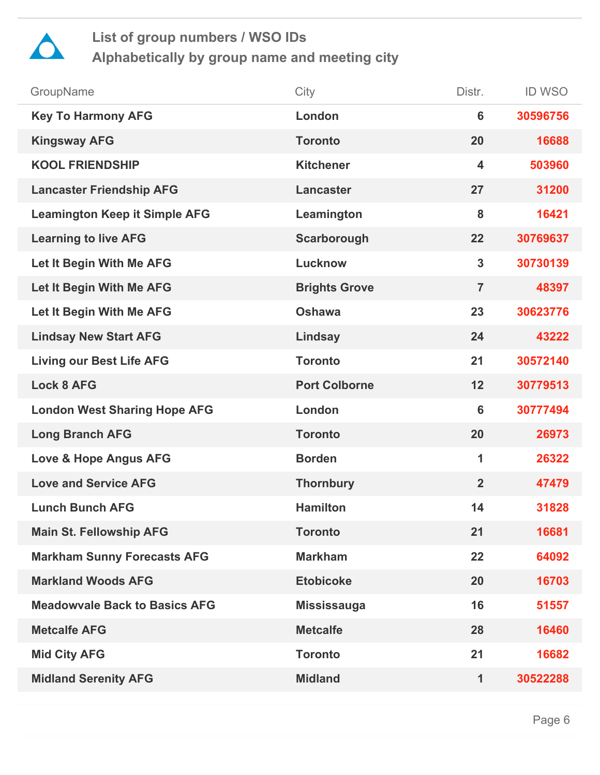

| GroupName                            | City                 | Distr.                  | <b>ID WSO</b> |
|--------------------------------------|----------------------|-------------------------|---------------|
| <b>Key To Harmony AFG</b>            | London               | 6                       | 30596756      |
| <b>Kingsway AFG</b>                  | <b>Toronto</b>       | 20                      | 16688         |
| <b>KOOL FRIENDSHIP</b>               | <b>Kitchener</b>     | $\overline{\mathbf{4}}$ | 503960        |
| <b>Lancaster Friendship AFG</b>      | <b>Lancaster</b>     | 27                      | 31200         |
| <b>Leamington Keep it Simple AFG</b> | Leamington           | 8                       | 16421         |
| <b>Learning to live AFG</b>          | Scarborough          | 22                      | 30769637      |
| Let It Begin With Me AFG             | Lucknow              | $\mathbf{3}$            | 30730139      |
| Let It Begin With Me AFG             | <b>Brights Grove</b> | $\overline{7}$          | 48397         |
| Let It Begin With Me AFG             | <b>Oshawa</b>        | 23                      | 30623776      |
| <b>Lindsay New Start AFG</b>         | Lindsay              | 24                      | 43222         |
| <b>Living our Best Life AFG</b>      | <b>Toronto</b>       | 21                      | 30572140      |
| <b>Lock 8 AFG</b>                    | <b>Port Colborne</b> | 12                      | 30779513      |
| <b>London West Sharing Hope AFG</b>  | London               | 6                       | 30777494      |
| <b>Long Branch AFG</b>               | <b>Toronto</b>       | 20                      | 26973         |
| <b>Love &amp; Hope Angus AFG</b>     | <b>Borden</b>        | 1                       | 26322         |
| <b>Love and Service AFG</b>          | <b>Thornbury</b>     | $\overline{2}$          | 47479         |
| <b>Lunch Bunch AFG</b>               | <b>Hamilton</b>      | 14                      | 31828         |
| <b>Main St. Fellowship AFG</b>       | <b>Toronto</b>       | 21                      | 16681         |
| <b>Markham Sunny Forecasts AFG</b>   | <b>Markham</b>       | 22                      | 64092         |
| <b>Markland Woods AFG</b>            | <b>Etobicoke</b>     | 20                      | 16703         |
| <b>Meadowyale Back to Basics AFG</b> | <b>Mississauga</b>   | 16                      | 51557         |
| <b>Metcalfe AFG</b>                  | <b>Metcalfe</b>      | 28                      | 16460         |
| <b>Mid City AFG</b>                  | <b>Toronto</b>       | 21                      | 16682         |
| <b>Midland Serenity AFG</b>          | <b>Midland</b>       | 1                       | 30522288      |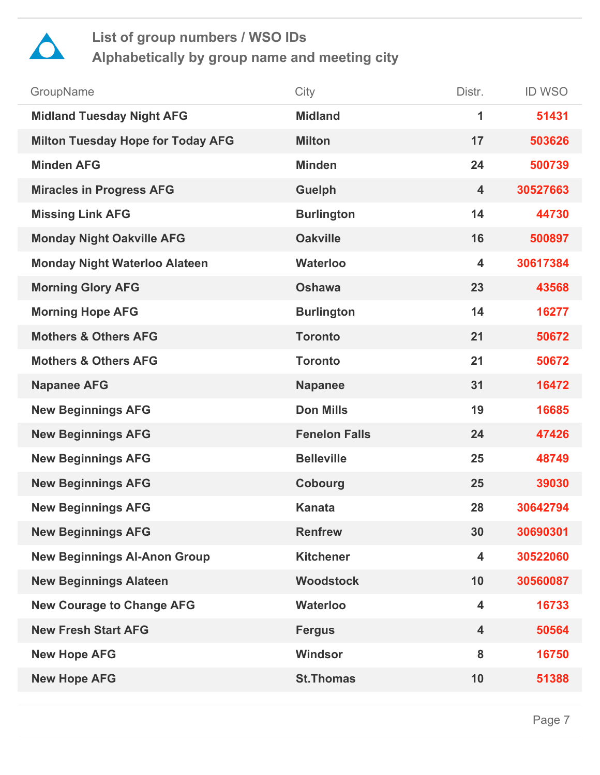

| GroupName                                | City                 | Distr.                  | <b>ID WSO</b> |
|------------------------------------------|----------------------|-------------------------|---------------|
| <b>Midland Tuesday Night AFG</b>         | <b>Midland</b>       | 1                       | 51431         |
| <b>Milton Tuesday Hope for Today AFG</b> | <b>Milton</b>        | 17                      | 503626        |
| <b>Minden AFG</b>                        | <b>Minden</b>        | 24                      | 500739        |
| <b>Miracles in Progress AFG</b>          | <b>Guelph</b>        | $\overline{\mathbf{4}}$ | 30527663      |
| <b>Missing Link AFG</b>                  | <b>Burlington</b>    | 14                      | 44730         |
| <b>Monday Night Oakville AFG</b>         | <b>Oakville</b>      | 16                      | 500897        |
| <b>Monday Night Waterloo Alateen</b>     | <b>Waterloo</b>      | $\overline{\mathbf{4}}$ | 30617384      |
| <b>Morning Glory AFG</b>                 | <b>Oshawa</b>        | 23                      | 43568         |
| <b>Morning Hope AFG</b>                  | <b>Burlington</b>    | 14                      | 16277         |
| <b>Mothers &amp; Others AFG</b>          | <b>Toronto</b>       | 21                      | 50672         |
| <b>Mothers &amp; Others AFG</b>          | <b>Toronto</b>       | 21                      | 50672         |
| <b>Napanee AFG</b>                       | <b>Napanee</b>       | 31                      | 16472         |
| <b>New Beginnings AFG</b>                | <b>Don Mills</b>     | 19                      | 16685         |
| <b>New Beginnings AFG</b>                | <b>Fenelon Falls</b> | 24                      | 47426         |
| <b>New Beginnings AFG</b>                | <b>Belleville</b>    | 25                      | 48749         |
| <b>New Beginnings AFG</b>                | Cobourg              | 25                      | 39030         |
| <b>New Beginnings AFG</b>                | <b>Kanata</b>        | 28                      | 30642794      |
| <b>New Beginnings AFG</b>                | <b>Renfrew</b>       | 30                      | 30690301      |
| <b>New Beginnings Al-Anon Group</b>      | <b>Kitchener</b>     | $\overline{\mathbf{4}}$ | 30522060      |
| <b>New Beginnings Alateen</b>            | <b>Woodstock</b>     | 10                      | 30560087      |
| <b>New Courage to Change AFG</b>         | <b>Waterloo</b>      | $\overline{\mathbf{4}}$ | 16733         |
| <b>New Fresh Start AFG</b>               | <b>Fergus</b>        | $\overline{\mathbf{4}}$ | 50564         |
| <b>New Hope AFG</b>                      | Windsor              | 8                       | 16750         |
| <b>New Hope AFG</b>                      | <b>St.Thomas</b>     | 10                      | 51388         |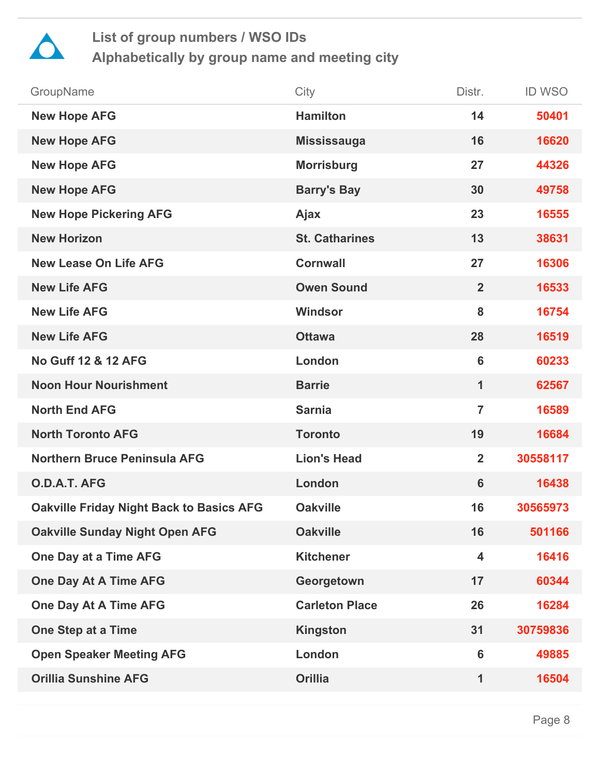

| GroupName                                       | City                  | Distr.                  | <b>ID WSO</b> |
|-------------------------------------------------|-----------------------|-------------------------|---------------|
| <b>New Hope AFG</b>                             | <b>Hamilton</b>       | 14                      | 50401         |
| <b>New Hope AFG</b>                             | <b>Mississauga</b>    | 16                      | 16620         |
| <b>New Hope AFG</b>                             | <b>Morrisburg</b>     | 27                      | 44326         |
| <b>New Hope AFG</b>                             | <b>Barry's Bay</b>    | 30                      | 49758         |
| <b>New Hope Pickering AFG</b>                   | Ajax                  | 23                      | 16555         |
| <b>New Horizon</b>                              | <b>St. Catharines</b> | 13                      | 38631         |
| <b>New Lease On Life AFG</b>                    | <b>Cornwall</b>       | 27                      | 16306         |
| <b>New Life AFG</b>                             | <b>Owen Sound</b>     | $\overline{2}$          | 16533         |
| <b>New Life AFG</b>                             | <b>Windsor</b>        | 8                       | 16754         |
| <b>New Life AFG</b>                             | <b>Ottawa</b>         | 28                      | 16519         |
| <b>No Guff 12 &amp; 12 AFG</b>                  | London                | 6                       | 60233         |
| <b>Noon Hour Nourishment</b>                    | <b>Barrie</b>         | 1                       | 62567         |
| <b>North End AFG</b>                            | <b>Sarnia</b>         | $\overline{7}$          | 16589         |
| <b>North Toronto AFG</b>                        | <b>Toronto</b>        | 19                      | 16684         |
| <b>Northern Bruce Peninsula AFG</b>             | <b>Lion's Head</b>    | $\overline{2}$          | 30558117      |
| O.D.A.T. AFG                                    | London                | 6                       | 16438         |
| <b>Oakville Friday Night Back to Basics AFG</b> | <b>Oakville</b>       | 16                      | 30565973      |
| <b>Oakville Sunday Night Open AFG</b>           | <b>Oakville</b>       | 16                      | 501166        |
| One Day at a Time AFG                           | <b>Kitchener</b>      | $\overline{\mathbf{4}}$ | 16416         |
| <b>One Day At A Time AFG</b>                    | Georgetown            | 17                      | 60344         |
| <b>One Day At A Time AFG</b>                    | <b>Carleton Place</b> | 26                      | 16284         |
| <b>One Step at a Time</b>                       | <b>Kingston</b>       | 31                      | 30759836      |
| <b>Open Speaker Meeting AFG</b>                 | London                | $6\phantom{1}$          | 49885         |
| <b>Orillia Sunshine AFG</b>                     | <b>Orillia</b>        | 1                       | 16504         |
|                                                 |                       |                         |               |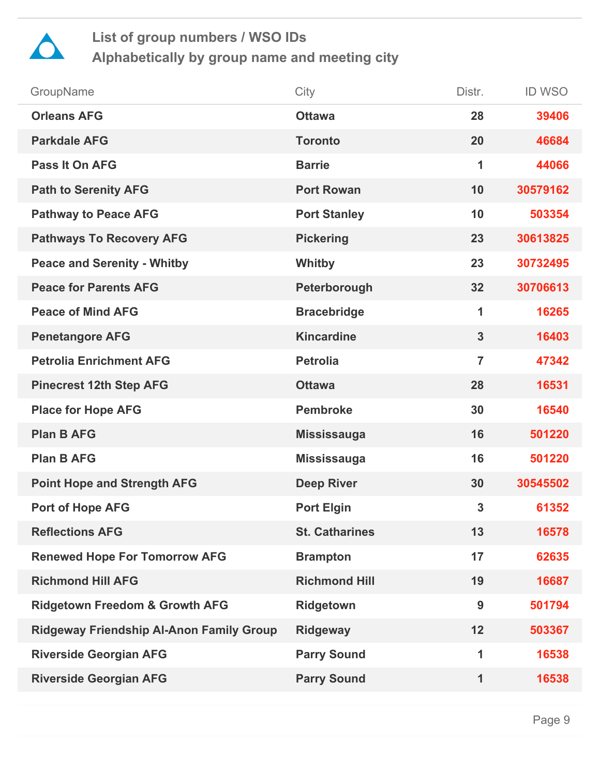

| GroupName                                 | City                  | Distr.         | <b>ID WSO</b> |
|-------------------------------------------|-----------------------|----------------|---------------|
| <b>Orleans AFG</b>                        | <b>Ottawa</b>         | 28             | 39406         |
| <b>Parkdale AFG</b>                       | <b>Toronto</b>        | 20             | 46684         |
| <b>Pass It On AFG</b>                     | <b>Barrie</b>         | 1              | 44066         |
| <b>Path to Serenity AFG</b>               | <b>Port Rowan</b>     | 10             | 30579162      |
| <b>Pathway to Peace AFG</b>               | <b>Port Stanley</b>   | 10             | 503354        |
| <b>Pathways To Recovery AFG</b>           | <b>Pickering</b>      | 23             | 30613825      |
| <b>Peace and Serenity - Whitby</b>        | Whitby                | 23             | 30732495      |
| <b>Peace for Parents AFG</b>              | Peterborough          | 32             | 30706613      |
| <b>Peace of Mind AFG</b>                  | <b>Bracebridge</b>    | 1              | 16265         |
| <b>Penetangore AFG</b>                    | <b>Kincardine</b>     | $\overline{3}$ | 16403         |
| <b>Petrolia Enrichment AFG</b>            | <b>Petrolia</b>       | $\overline{7}$ | 47342         |
| <b>Pinecrest 12th Step AFG</b>            | <b>Ottawa</b>         | 28             | 16531         |
| <b>Place for Hope AFG</b>                 | <b>Pembroke</b>       | 30             | 16540         |
| <b>Plan B AFG</b>                         | <b>Mississauga</b>    | 16             | 501220        |
| <b>Plan B AFG</b>                         | <b>Mississauga</b>    | 16             | 501220        |
| <b>Point Hope and Strength AFG</b>        | <b>Deep River</b>     | 30             | 30545502      |
| Port of Hope AFG                          | <b>Port Elgin</b>     | $\mathbf{3}$   | 61352         |
| <b>Reflections AFG</b>                    | <b>St. Catharines</b> | 13             | 16578         |
| <b>Renewed Hope For Tomorrow AFG</b>      | <b>Brampton</b>       | 17             | 62635         |
| <b>Richmond Hill AFG</b>                  | <b>Richmond Hill</b>  | 19             | 16687         |
| <b>Ridgetown Freedom &amp; Growth AFG</b> | <b>Ridgetown</b>      | 9              | 501794        |
| Ridgeway Friendship Al-Anon Family Group  | <b>Ridgeway</b>       | 12             | 503367        |
| <b>Riverside Georgian AFG</b>             | <b>Parry Sound</b>    | 1              | 16538         |
| <b>Riverside Georgian AFG</b>             | <b>Parry Sound</b>    | 1              | 16538         |
|                                           |                       |                |               |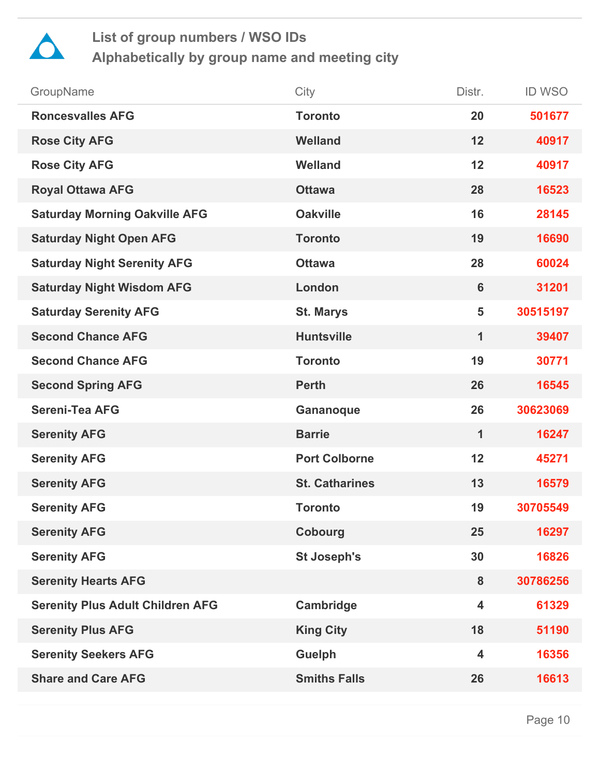

| GroupName                               | City                  | Distr.                  | <b>ID WSO</b> |
|-----------------------------------------|-----------------------|-------------------------|---------------|
| <b>Roncesvalles AFG</b>                 | <b>Toronto</b>        | 20                      | 501677        |
| <b>Rose City AFG</b>                    | <b>Welland</b>        | 12                      | 40917         |
| <b>Rose City AFG</b>                    | <b>Welland</b>        | 12                      | 40917         |
| <b>Royal Ottawa AFG</b>                 | <b>Ottawa</b>         | 28                      | 16523         |
| <b>Saturday Morning Oakville AFG</b>    | <b>Oakville</b>       | 16                      | 28145         |
| <b>Saturday Night Open AFG</b>          | <b>Toronto</b>        | 19                      | 16690         |
| <b>Saturday Night Serenity AFG</b>      | <b>Ottawa</b>         | 28                      | 60024         |
| <b>Saturday Night Wisdom AFG</b>        | London                | $6\phantom{1}$          | 31201         |
| <b>Saturday Serenity AFG</b>            | <b>St. Marys</b>      | 5                       | 30515197      |
| <b>Second Chance AFG</b>                | <b>Huntsville</b>     | $\mathbf{1}$            | 39407         |
| <b>Second Chance AFG</b>                | <b>Toronto</b>        | 19                      | 30771         |
| <b>Second Spring AFG</b>                | <b>Perth</b>          | 26                      | 16545         |
| <b>Sereni-Tea AFG</b>                   | Gananoque             | 26                      | 30623069      |
| <b>Serenity AFG</b>                     | <b>Barrie</b>         | 1                       | 16247         |
| <b>Serenity AFG</b>                     | <b>Port Colborne</b>  | 12                      | 45271         |
| <b>Serenity AFG</b>                     | <b>St. Catharines</b> | 13                      | 16579         |
| <b>Serenity AFG</b>                     | <b>Toronto</b>        | 19                      | 30705549      |
| <b>Serenity AFG</b>                     | <b>Cobourg</b>        | 25                      | 16297         |
| <b>Serenity AFG</b>                     | <b>St Joseph's</b>    | 30                      | 16826         |
| <b>Serenity Hearts AFG</b>              |                       | 8                       | 30786256      |
| <b>Serenity Plus Adult Children AFG</b> | Cambridge             | $\overline{\mathbf{4}}$ | 61329         |
| <b>Serenity Plus AFG</b>                | <b>King City</b>      | 18                      | 51190         |
| <b>Serenity Seekers AFG</b>             | <b>Guelph</b>         | $\overline{\mathbf{4}}$ | 16356         |
| <b>Share and Care AFG</b>               | <b>Smiths Falls</b>   | 26                      | 16613         |
|                                         |                       |                         |               |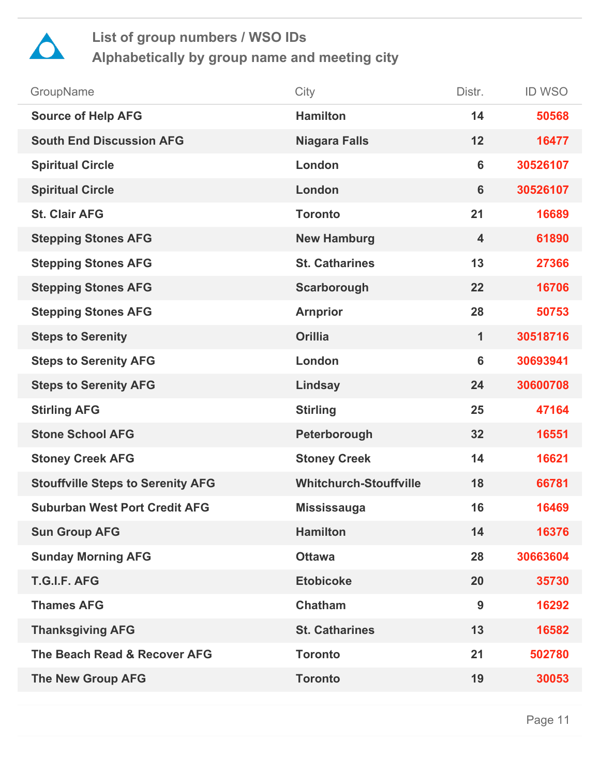

| GroupName                                | City                          | Distr.                  | <b>ID WSO</b> |
|------------------------------------------|-------------------------------|-------------------------|---------------|
| <b>Source of Help AFG</b>                | <b>Hamilton</b>               | 14                      | 50568         |
| <b>South End Discussion AFG</b>          | <b>Niagara Falls</b>          | 12                      | 16477         |
| <b>Spiritual Circle</b>                  | London                        | 6                       | 30526107      |
| <b>Spiritual Circle</b>                  | London                        | 6                       | 30526107      |
| <b>St. Clair AFG</b>                     | <b>Toronto</b>                | 21                      | 16689         |
| <b>Stepping Stones AFG</b>               | <b>New Hamburg</b>            | $\overline{\mathbf{4}}$ | 61890         |
| <b>Stepping Stones AFG</b>               | <b>St. Catharines</b>         | 13                      | 27366         |
| <b>Stepping Stones AFG</b>               | Scarborough                   | 22                      | 16706         |
| <b>Stepping Stones AFG</b>               | <b>Arnprior</b>               | 28                      | 50753         |
| <b>Steps to Serenity</b>                 | <b>Orillia</b>                | 1                       | 30518716      |
| <b>Steps to Serenity AFG</b>             | London                        | 6                       | 30693941      |
| <b>Steps to Serenity AFG</b>             | Lindsay                       | 24                      | 30600708      |
| <b>Stirling AFG</b>                      | <b>Stirling</b>               | 25                      | 47164         |
| <b>Stone School AFG</b>                  | Peterborough                  | 32                      | 16551         |
| <b>Stoney Creek AFG</b>                  | <b>Stoney Creek</b>           | 14                      | 16621         |
| <b>Stouffville Steps to Serenity AFG</b> | <b>Whitchurch-Stouffville</b> | 18                      | 66781         |
| <b>Suburban West Port Credit AFG</b>     | <b>Mississauga</b>            | 16                      | 16469         |
| <b>Sun Group AFG</b>                     | <b>Hamilton</b>               | 14                      | 16376         |
| <b>Sunday Morning AFG</b>                | <b>Ottawa</b>                 | 28                      | 30663604      |
| T.G.I.F. AFG                             | <b>Etobicoke</b>              | 20                      | 35730         |
| <b>Thames AFG</b>                        | <b>Chatham</b>                | 9                       | 16292         |
| <b>Thanksgiving AFG</b>                  | <b>St. Catharines</b>         | 13                      | 16582         |
| The Beach Read & Recover AFG             | <b>Toronto</b>                | 21                      | 502780        |
| <b>The New Group AFG</b>                 | <b>Toronto</b>                | 19                      | 30053         |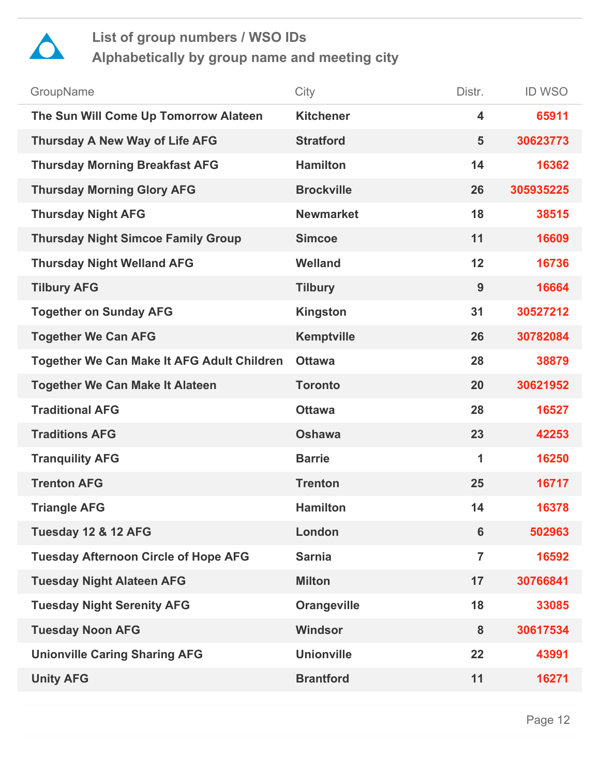

| GroupName                                   | City               | Distr.                  | <b>ID WSO</b> |
|---------------------------------------------|--------------------|-------------------------|---------------|
| The Sun Will Come Up Tomorrow Alateen       | <b>Kitchener</b>   | 4                       | 65911         |
| Thursday A New Way of Life AFG              | <b>Stratford</b>   | 5                       | 30623773      |
| <b>Thursday Morning Breakfast AFG</b>       | <b>Hamilton</b>    | 14                      | 16362         |
| <b>Thursday Morning Glory AFG</b>           | <b>Brockville</b>  | 26                      | 305935225     |
| <b>Thursday Night AFG</b>                   | <b>Newmarket</b>   | 18                      | 38515         |
| <b>Thursday Night Simcoe Family Group</b>   | <b>Simcoe</b>      | 11                      | 16609         |
| <b>Thursday Night Welland AFG</b>           | <b>Welland</b>     | 12                      | 16736         |
| <b>Tilbury AFG</b>                          | <b>Tilbury</b>     | 9                       | 16664         |
| <b>Together on Sunday AFG</b>               | <b>Kingston</b>    | 31                      | 30527212      |
| <b>Together We Can AFG</b>                  | <b>Kemptville</b>  | 26                      | 30782084      |
| Together We Can Make It AFG Adult Children  | <b>Ottawa</b>      | 28                      | 38879         |
| <b>Together We Can Make It Alateen</b>      | <b>Toronto</b>     | 20                      | 30621952      |
| <b>Traditional AFG</b>                      | <b>Ottawa</b>      | 28                      | 16527         |
| <b>Traditions AFG</b>                       | <b>Oshawa</b>      | 23                      | 42253         |
| <b>Tranquility AFG</b>                      | <b>Barrie</b>      | $\overline{\mathbf{1}}$ | 16250         |
| <b>Trenton AFG</b>                          | <b>Trenton</b>     | 25                      | 16717         |
| <b>Triangle AFG</b>                         | <b>Hamilton</b>    | 14                      | 16378         |
| Tuesday 12 & 12 AFG                         | London             | $6\phantom{1}$          | 502963        |
| <b>Tuesday Afternoon Circle of Hope AFG</b> | <b>Sarnia</b>      | $\overline{7}$          | 16592         |
| <b>Tuesday Night Alateen AFG</b>            | <b>Milton</b>      | 17                      | 30766841      |
| <b>Tuesday Night Serenity AFG</b>           | <b>Orangeville</b> | 18                      | 33085         |
| <b>Tuesday Noon AFG</b>                     | <b>Windsor</b>     | 8                       | 30617534      |
| <b>Unionville Caring Sharing AFG</b>        | <b>Unionville</b>  | 22                      | 43991         |
| <b>Unity AFG</b>                            | <b>Brantford</b>   | 11                      | 16271         |
|                                             |                    |                         |               |